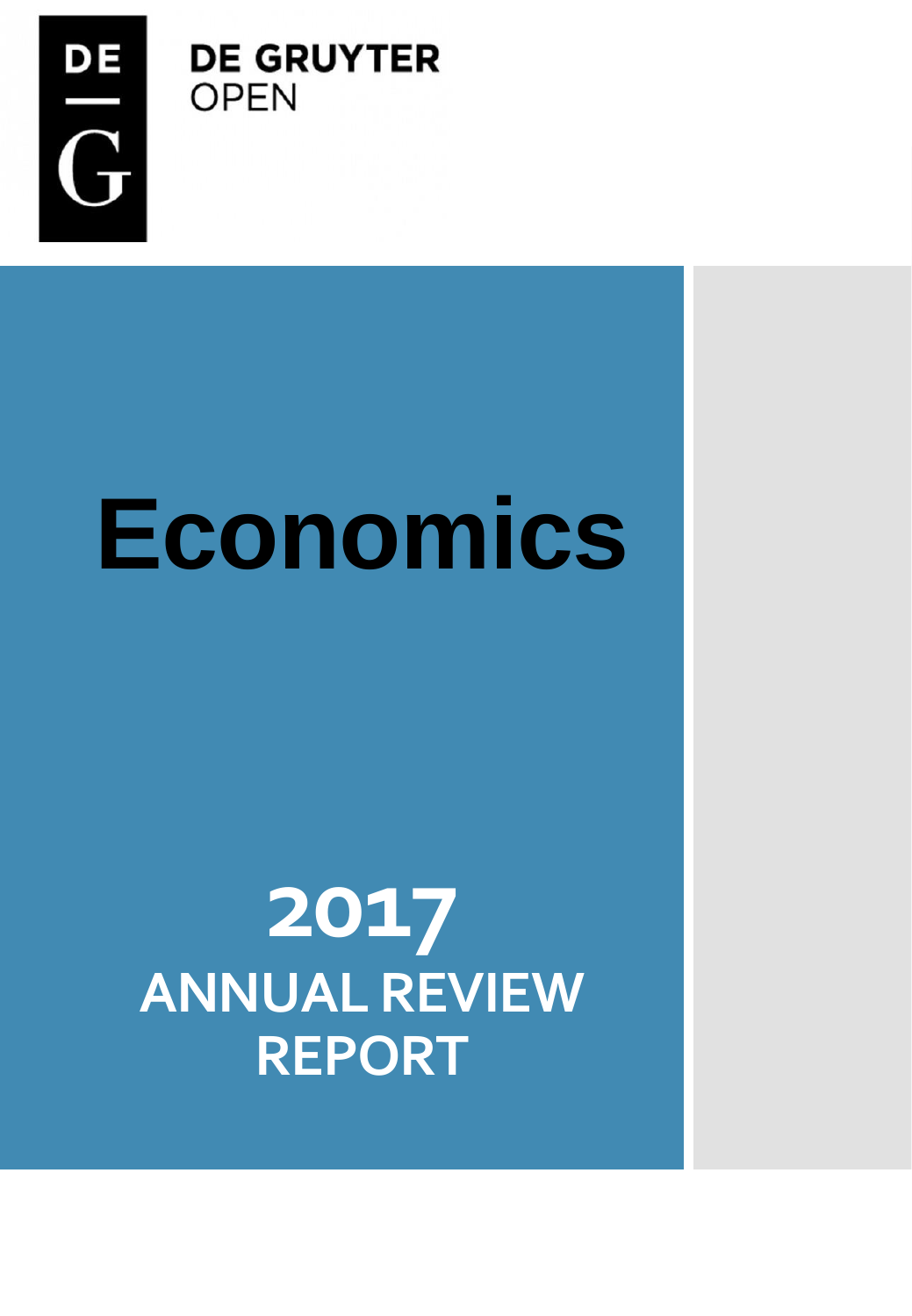

**DE GRUYTER OPEN** 

## **Economics**

### **2017 ANNUAL REVIEW REPORT**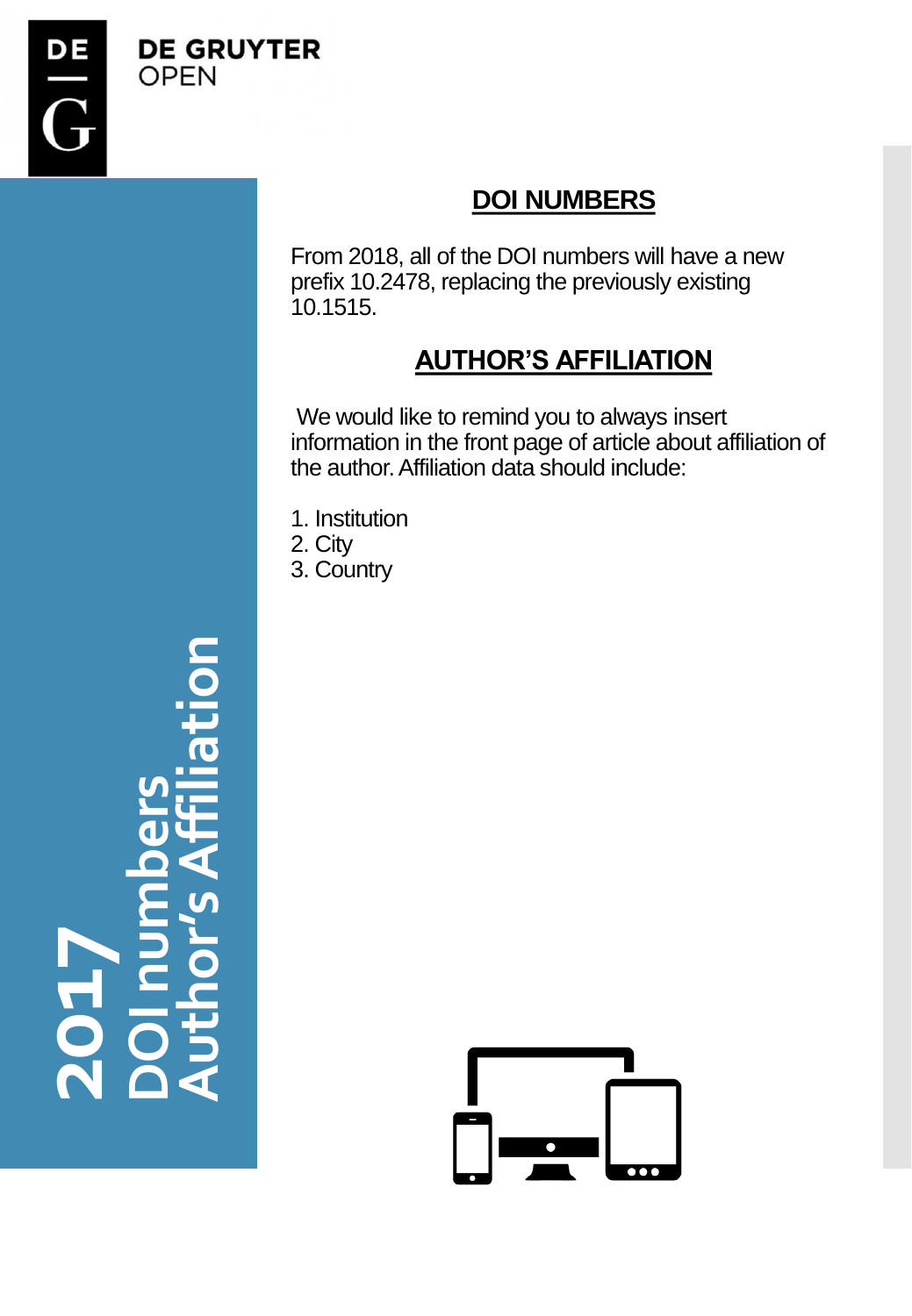

#### **DOI NUMBERS**

From 2018, all of the DOI numbers will have a new prefix 10.2478, replacing the previously existing 10.1515.

#### **AUTHOR'S AFFILIATION**

We would like to remind you to always insert information in the front page of article about affiliation of the author. Affiliation data should include:

- 1. Institution 2. City
- 3. Country



**201 7DOI numbers Author's Affiliation**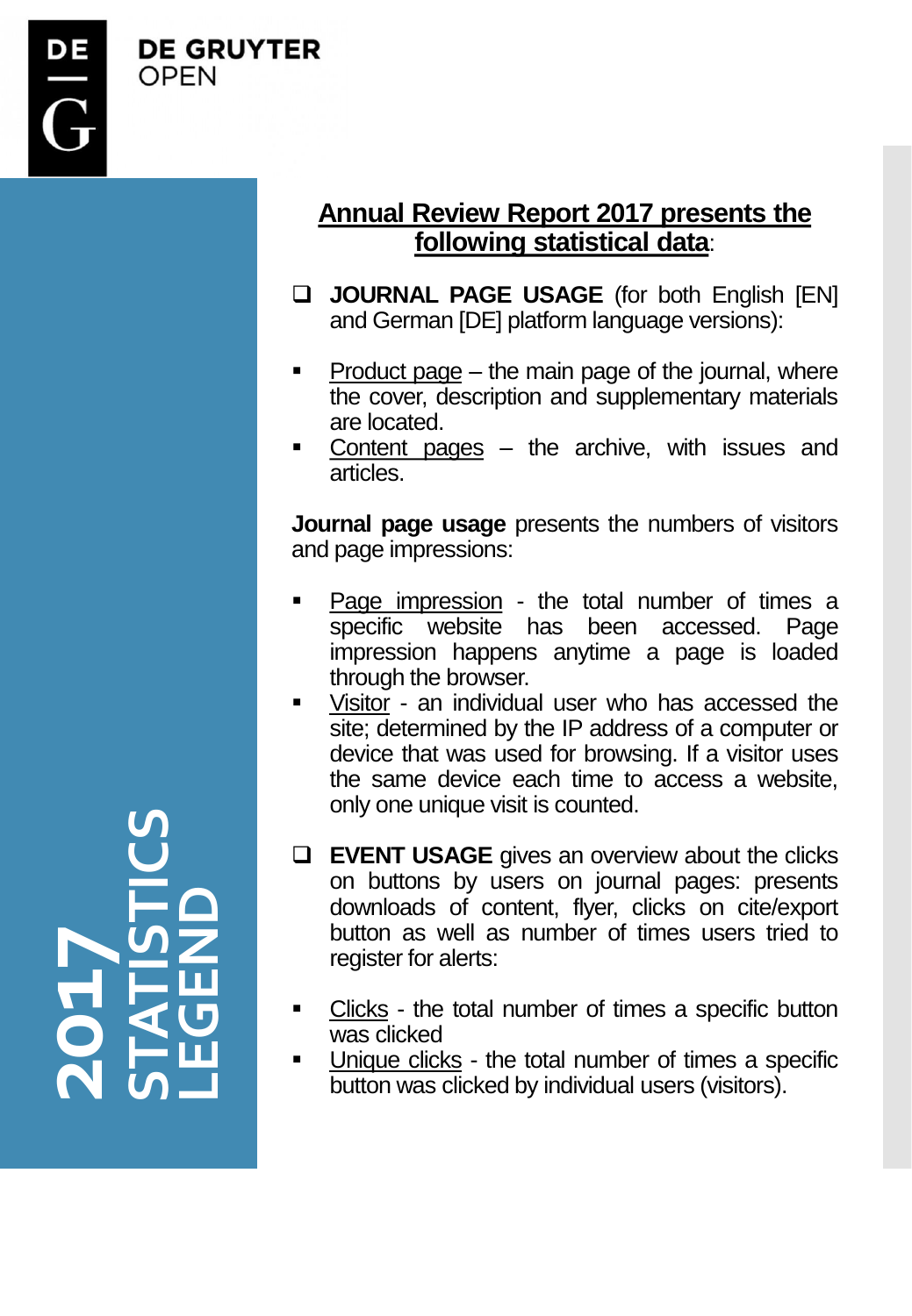

**DE GRUYTER OPFN** 

#### **Annual Review Report 2017 presents the following statistical data**:

- **JOURNAL PAGE USAGE** (for both English [EN] and German [DE] platform language versions):
- $Product$  page the main page of the journal, where the cover, description and supplementary materials are located.
- Content pages  $-$  the archive, with issues and articles.

**Journal page usage** presents the numbers of visitors and page impressions:

- Page impression the total number of times a specific website has been accessed. Page impression happens anytime a page is loaded through the browser.
- Visitor an individual user who has accessed the site; determined by the IP address of a computer or device that was used for browsing. If a visitor uses the same device each time to access a website, only one unique visit is counted.
- **EVENT USAGE** gives an overview about the clicks on buttons by users on journal pages: presents downloads of content, flyer, clicks on cite/export button as well as number of times users tried to register for alerts:
- Clicks the total number of times a specific button was clicked
- Unique clicks the total number of times a specific button was clicked by individual users (visitors).

**201 7STATISTICS LEGEND**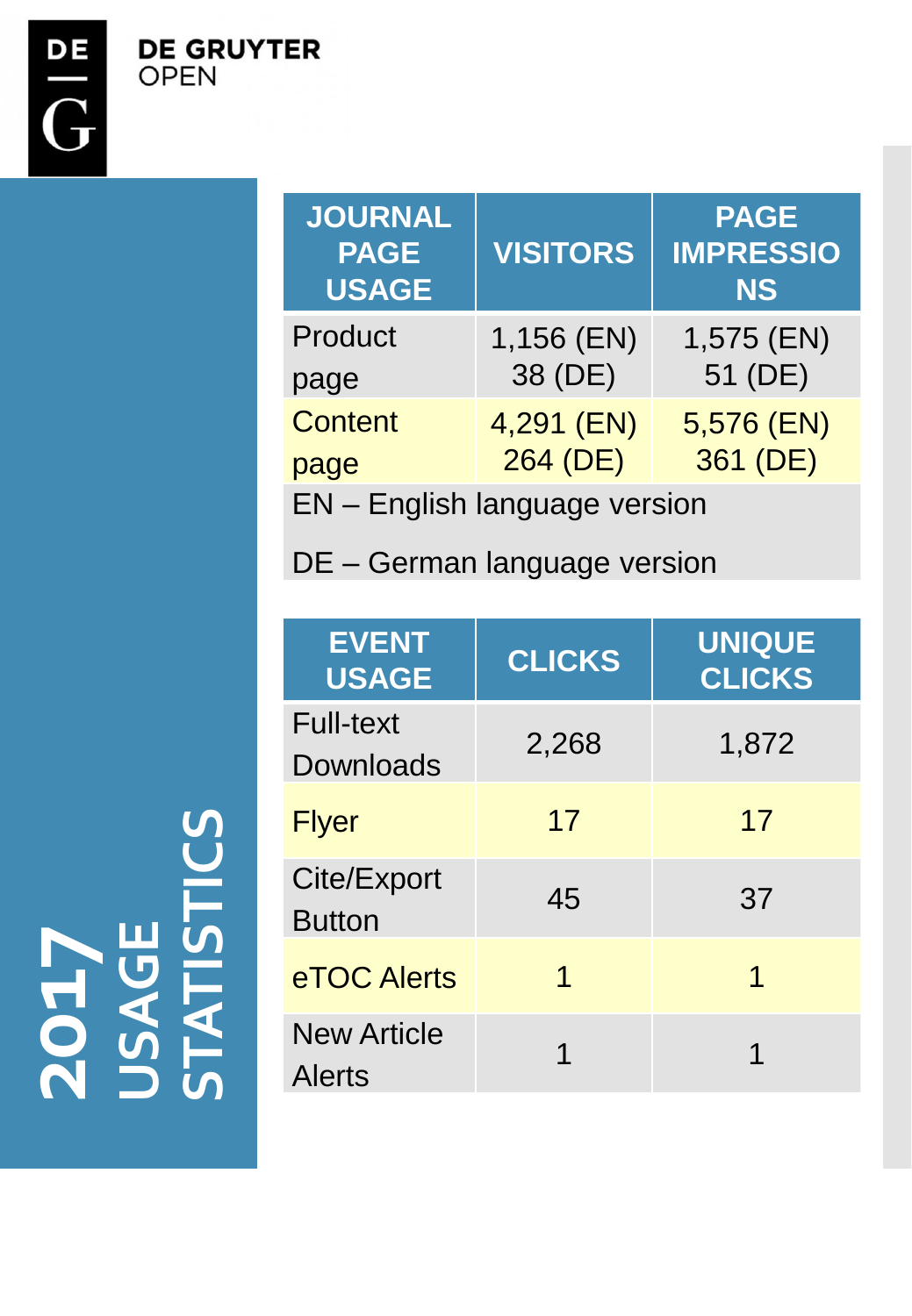**DE GRUYTER OPEN** 

| JOURNAL<br><b>PAGE</b><br><b>USAGE</b> | <b>VISITORS</b> | <b>PAGE</b><br><b>IMPRESSIO</b><br><b>NS</b> |
|----------------------------------------|-----------------|----------------------------------------------|
| Product                                | 1,156 (EN)      | 1,575 (EN)                                   |
| page                                   | 38 (DE)         | 51 (DE)                                      |
| <b>Content</b>                         | 4,291 (EN)      | 5,576 (EN)                                   |
| page                                   | 264 (DE)        | 361 (DE)                                     |
| <b>EN</b> - English language version   |                 |                                              |

DE – German language version

| <b>EVENT</b><br><b>USAGE</b>  | <b>CLICKS</b> | <b>UNIQUE</b><br><b>CLICKS</b> |
|-------------------------------|---------------|--------------------------------|
| <b>Full-text</b><br>Downloads | 2,268         | 1,872                          |
| <b>Flyer</b>                  | 17            | 17                             |
| Cite/Export<br><b>Button</b>  | 45            | 37                             |
| eTOC Alerts                   | 1             | 1                              |
| <b>New Article</b><br>Alerts  | 1             | 1                              |

**201 7 USAGE STATISTICS**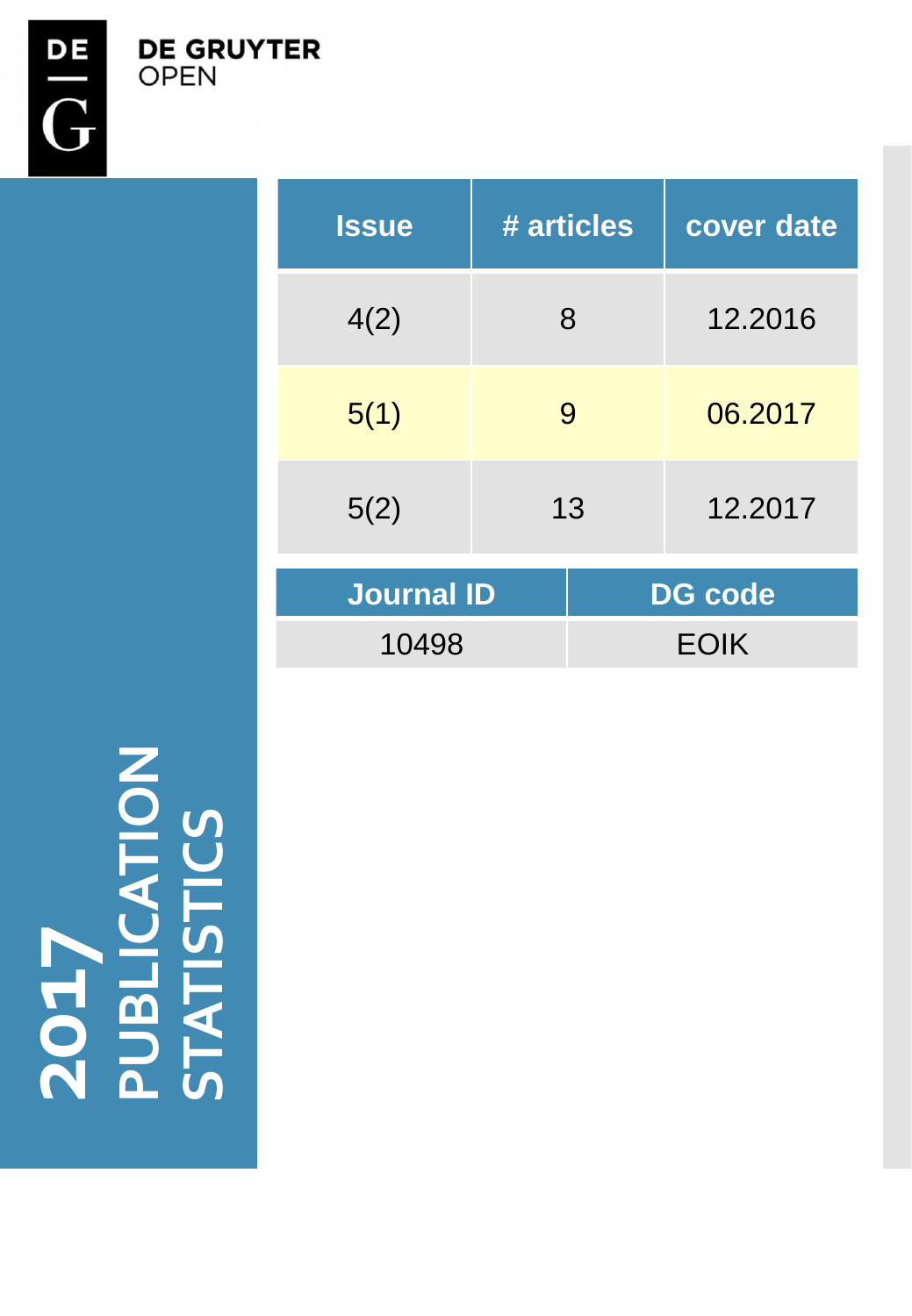**DE GRUYTER**<br>OPEN

| <b>Issue</b>      | # articles | cover date     |  |
|-------------------|------------|----------------|--|
| 4(2)              | 8          | 12.2016        |  |
| 5(1)              | 9          | 06.2017        |  |
| 5(2)              | 13         | 12.2017        |  |
| <b>Journal ID</b> |            | <b>DG</b> code |  |
| 10498             |            | <b>EOIK</b>    |  |

**201 7 PUBLICATION STATISTICS**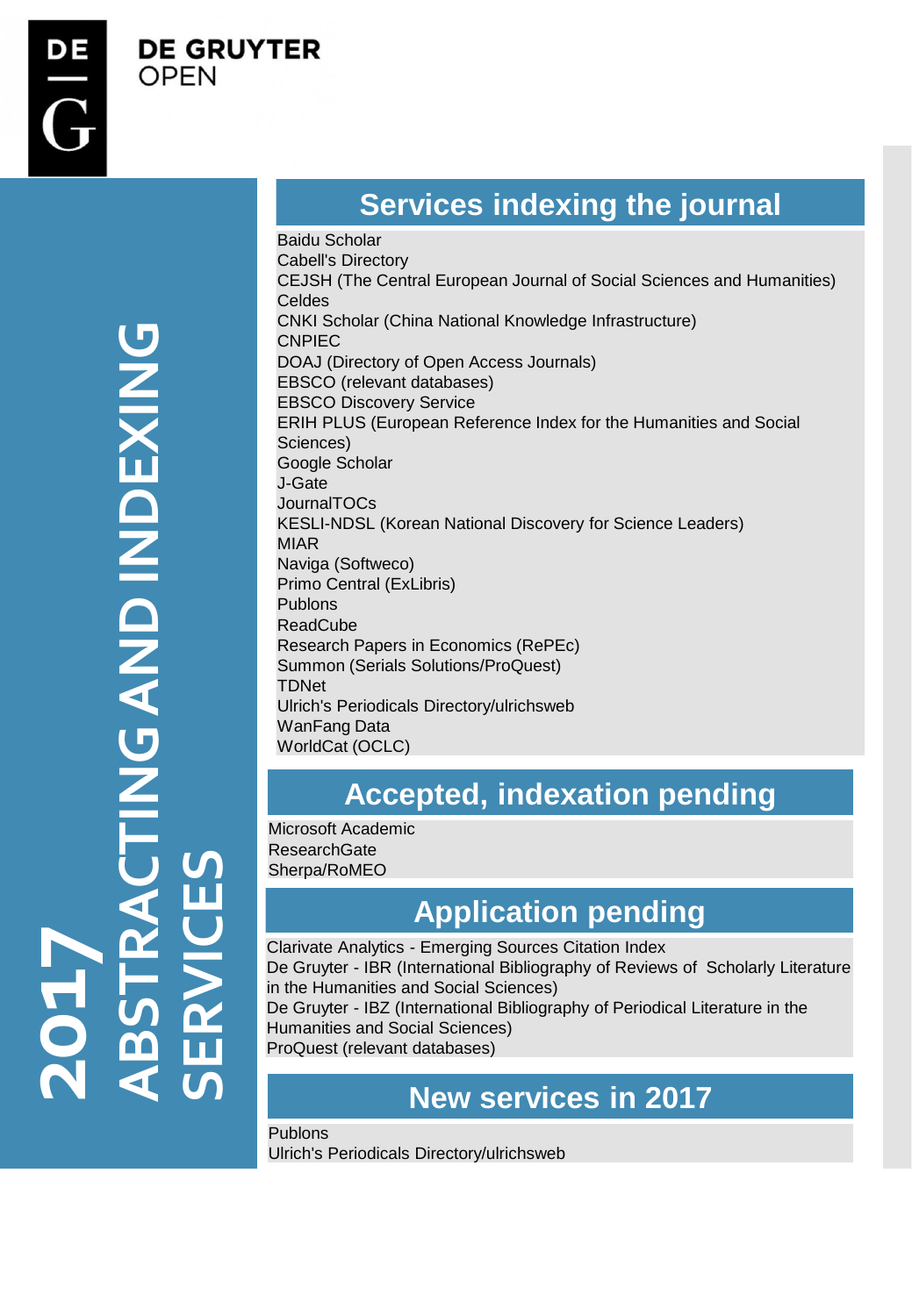**DE GRUYTER** 

OPEN

# **ABSTRACTING AND INDEXING NEXIDEND INDEXING SERVICES 7201**

#### **Services indexing the journal**

Baidu Scholar Cabell's Directory CEJSH (The Central European Journal of Social Sciences and Humanities) Celdes CNKI Scholar (China National Knowledge Infrastructure) CNPIEC DOAJ (Directory of Open Access Journals) EBSCO (relevant databases) EBSCO Discovery Service ERIH PLUS (European Reference Index for the Humanities and Social Sciences) Google Scholar J-Gate **JournalTOCs** KESLI-NDSL (Korean National Discovery for Science Leaders) MIAR Naviga (Softweco) Primo Central (ExLibris) Publons ReadCube Research Papers in Economics (RePEc) Summon (Serials Solutions/ProQuest) TDNet Ulrich's Periodicals Directory/ulrichsweb WanFang Data WorldCat (OCLC)

#### **Accepted, indexation pending**

Microsoft Academic **ResearchGate** Sherpa/RoMEO

#### **Application pending**

Clarivate Analytics - Emerging Sources Citation Index De Gruyter - IBR (International Bibliography of Reviews of Scholarly Literature in the Humanities and Social Sciences) De Gruyter - IBZ (International Bibliography of Periodical Literature in the

Humanities and Social Sciences) ProQuest (relevant databases)

#### **New services in 2017**

Publons Ulrich's Periodicals Directory/ulrichsweb